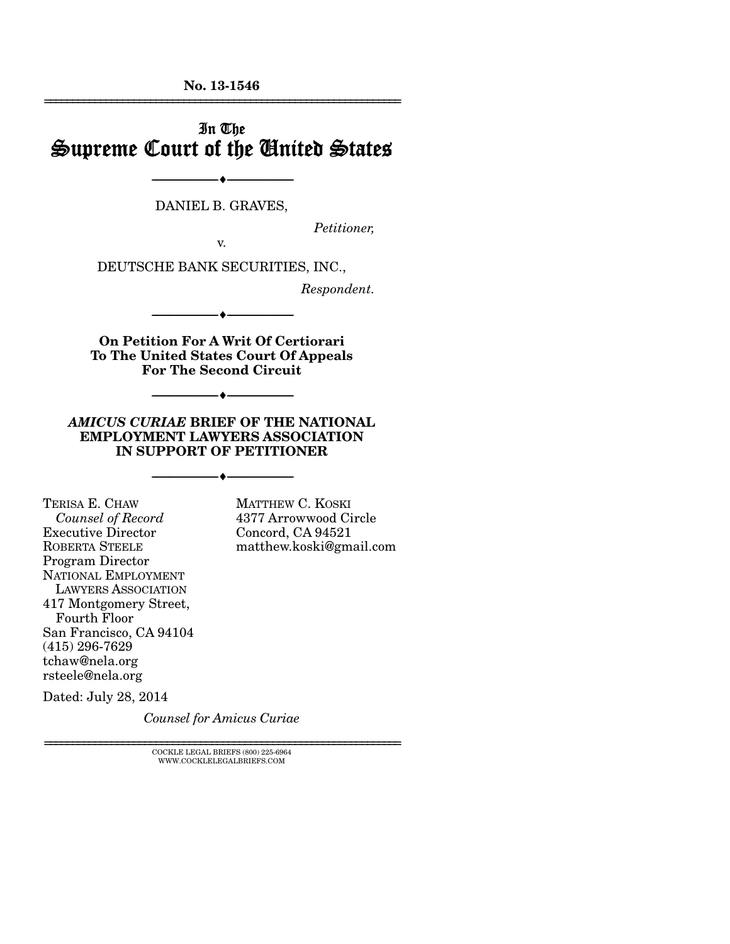**No. 13-1546**  ================================================================

# In The Supreme Court of the United States

DANIEL B. GRAVES,

--------------------------------- ---------------------------------

*Petitioner,* 

v.

DEUTSCHE BANK SECURITIES, INC.,

*Respondent.* 

**On Petition For A Writ Of Certiorari To The United States Court Of Appeals For The Second Circuit** 

--------------------------------- ---------------------------------

--------------------------------- ---------------------------------

#### *AMICUS CURIAE* **BRIEF OF THE NATIONAL EMPLOYMENT LAWYERS ASSOCIATION IN SUPPORT OF PETITIONER**

--------------------------------- ---------------------------------

TERISA E. CHAW *Counsel of Record* Executive Director ROBERTA STEELE Program Director NATIONAL EMPLOYMENT LAWYERS ASSOCIATION 417 Montgomery Street, Fourth Floor San Francisco, CA 94104 (415) 296-7629 tchaw@nela.org rsteele@nela.org

MATTHEW C. KOSKI 4377 Arrowwood Circle Concord, CA 94521 matthew.koski@gmail.com

Dated: July 28, 2014

*Counsel for Amicus Curiae*

 $\textsc{COCKLE}$  LEGAL BRIEFS (800) 225-6964 WWW.COCKLELEGALBRIEFS.COM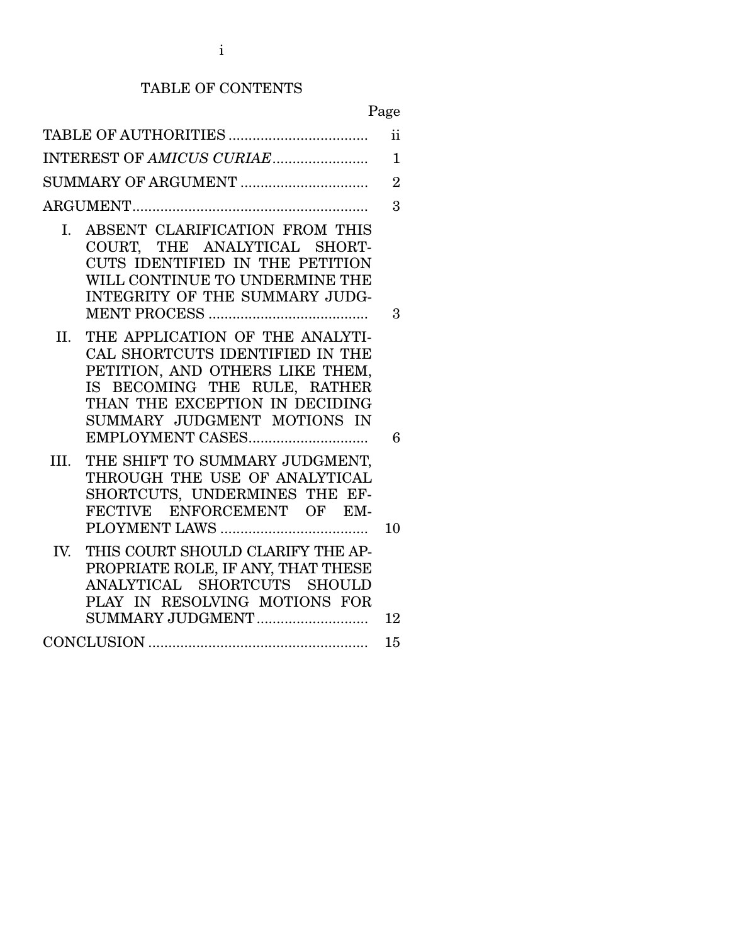# TABLE OF CONTENTS

# Page

|      |                                                                                                                                                                                                                            | $\mathbf{ii}$ |  |  |
|------|----------------------------------------------------------------------------------------------------------------------------------------------------------------------------------------------------------------------------|---------------|--|--|
|      | INTEREST OF AMICUS CURIAE                                                                                                                                                                                                  | $\mathbf{1}$  |  |  |
|      |                                                                                                                                                                                                                            |               |  |  |
|      |                                                                                                                                                                                                                            | 3             |  |  |
| Ι.   | ABSENT CLARIFICATION FROM THIS<br>COURT, THE ANALYTICAL SHORT-<br>CUTS IDENTIFIED IN THE PETITION<br>WILL CONTINUE TO UNDERMINE THE<br>INTEGRITY OF THE SUMMARY JUDG-                                                      | 3             |  |  |
| II.  | THE APPLICATION OF THE ANALYTI-<br>CAL SHORTCUTS IDENTIFIED IN THE<br>PETITION, AND OTHERS LIKE THEM,<br>IS BECOMING THE RULE, RATHER<br>THAN THE EXCEPTION IN DECIDING<br>SUMMARY JUDGMENT MOTIONS IN<br>EMPLOYMENT CASES | 6             |  |  |
| III. | THE SHIFT TO SUMMARY JUDGMENT,<br>THROUGH THE USE OF ANALYTICAL<br>SHORTCUTS, UNDERMINES THE EF-<br>FECTIVE ENFORCEMENT OF EM-                                                                                             | 10            |  |  |
| IV.  | THIS COURT SHOULD CLARIFY THE AP-<br>PROPRIATE ROLE, IF ANY, THAT THESE<br>ANALYTICAL SHORTCUTS SHOULD<br>PLAY IN RESOLVING MOTIONS FOR<br>SUMMARY JUDGMENT                                                                | 12            |  |  |
|      |                                                                                                                                                                                                                            | 15            |  |  |
|      |                                                                                                                                                                                                                            |               |  |  |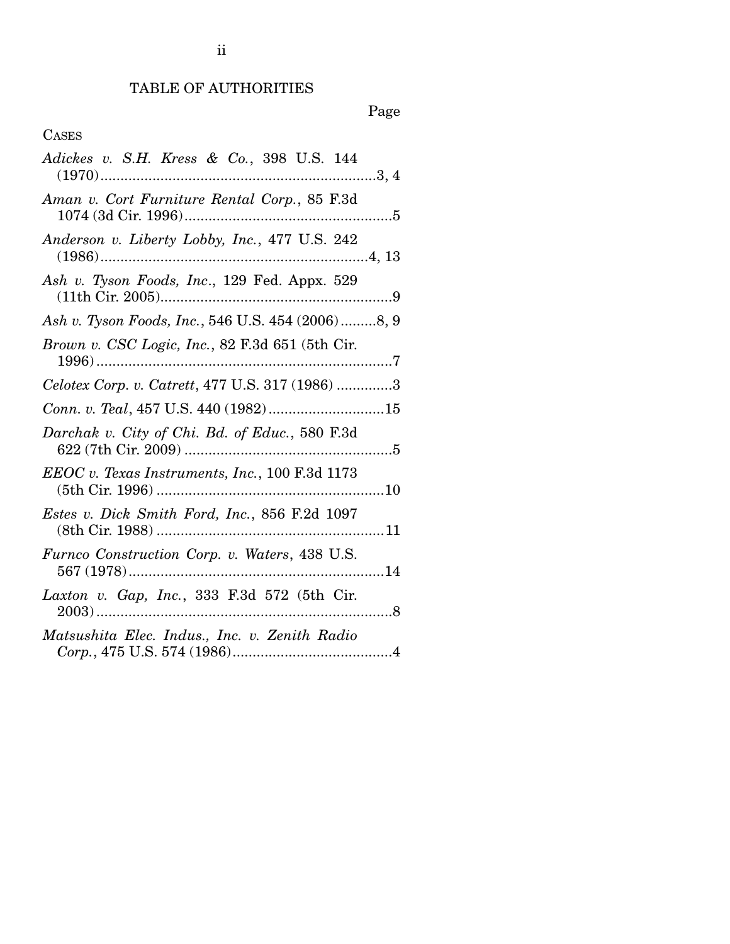# TABLE OF AUTHORITIES

# Page

# CASES

| Adickes v. S.H. Kress & Co., 398 U.S. 144          |
|----------------------------------------------------|
| Aman v. Cort Furniture Rental Corp., 85 F.3d       |
| Anderson v. Liberty Lobby, Inc., 477 U.S. 242      |
| Ash v. Tyson Foods, Inc., 129 Fed. Appx. 529       |
| Ash v. Tyson Foods, Inc., 546 U.S. 454 (2006) 8, 9 |
| Brown v. CSC Logic, Inc., 82 F.3d 651 (5th Cir.    |
| Celotex Corp. v. Catrett, 477 U.S. 317 (1986) 3    |
| Conn. v. Teal, 457 U.S. 440 (1982)15               |
| Darchak v. City of Chi. Bd. of Educ., 580 F.3d     |
| EEOC v. Texas Instruments, Inc., 100 F.3d 1173     |
| Estes v. Dick Smith Ford, Inc., 856 F.2d 1097      |
| Furnco Construction Corp. v. Waters, 438 U.S.      |
| Laxton v. Gap, Inc., 333 F.3d 572 (5th Cir.<br>. 8 |
| Matsushita Elec. Indus., Inc. v. Zenith Radio      |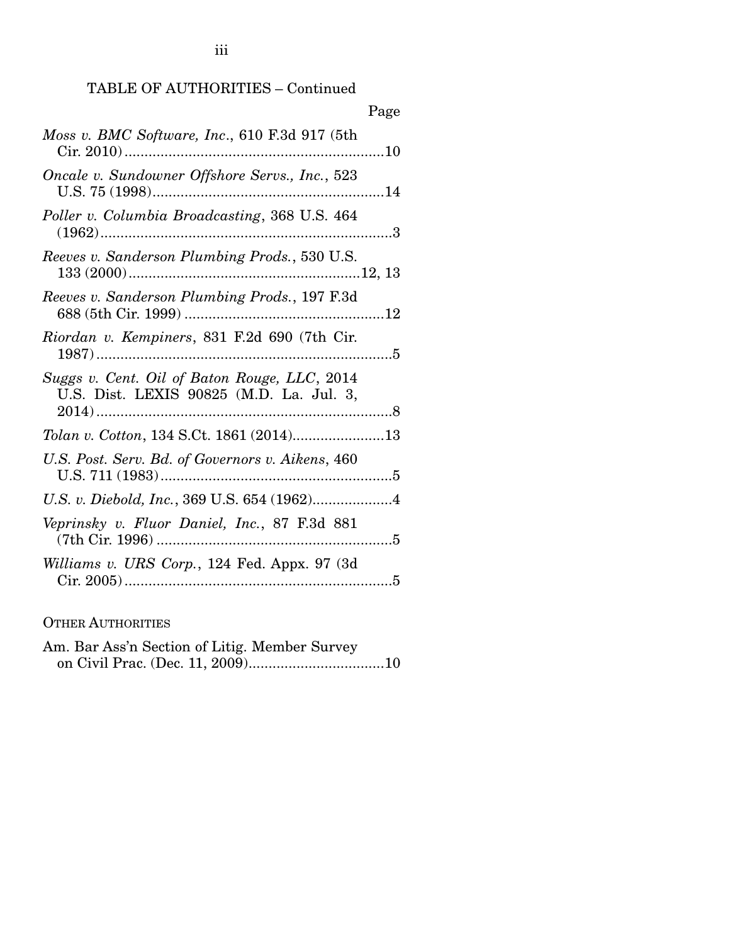| Page                                                                                     |
|------------------------------------------------------------------------------------------|
| Moss v. BMC Software, Inc., 610 F.3d 917 (5th                                            |
| Oncale v. Sundowner Offshore Servs., Inc., 523                                           |
| Poller v. Columbia Broadcasting, 368 U.S. 464                                            |
| Reeves v. Sanderson Plumbing Prods., 530 U.S.                                            |
| Reeves v. Sanderson Plumbing Prods., 197 F.3d                                            |
| Riordan v. Kempiners, 831 F.2d 690 (7th Cir.                                             |
| Suggs v. Cent. Oil of Baton Rouge, LLC, 2014<br>U.S. Dist. LEXIS 90825 (M.D. La. Jul. 3, |
|                                                                                          |
| U.S. Post. Serv. Bd. of Governors v. Aikens, 460                                         |
|                                                                                          |
| Veprinsky v. Fluor Daniel, Inc., 87 F.3d 881                                             |
| Williams v. URS Corp., 124 Fed. Appx. 97 (3d)                                            |

OTHER AUTHORITIES

Am. Bar Ass'n Section of Litig. Member Survey on Civil Prac. (Dec. 11, 2009) .................................. 10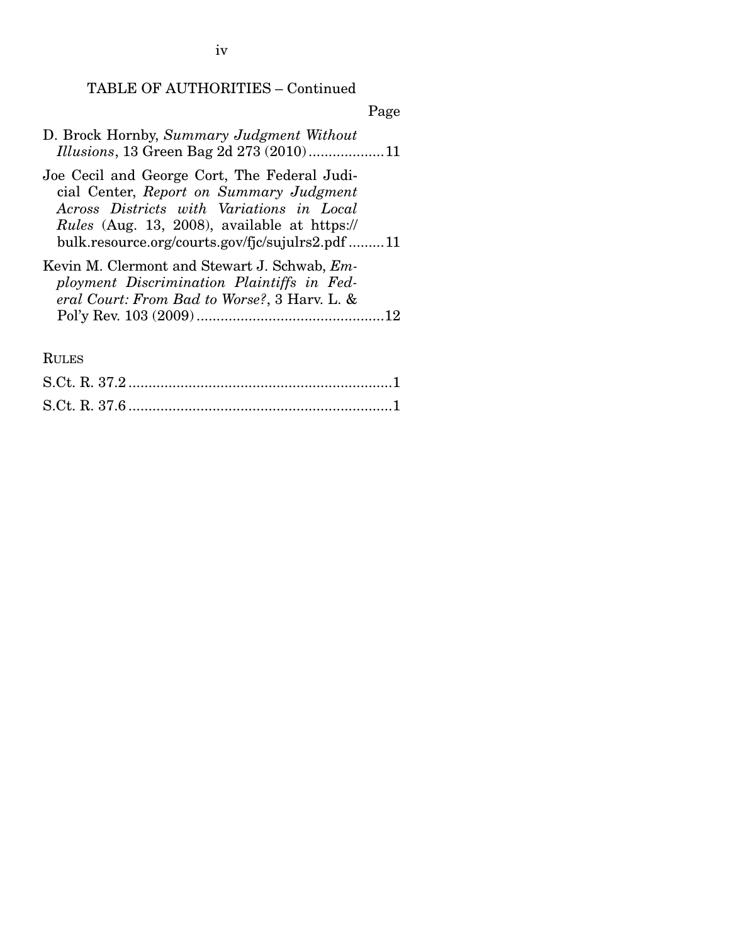iv

#### TABLE OF AUTHORITIES – Continued

Page

- D. Brock Hornby, *Summary Judgment Without Illusions*, 13 Green Bag 2d 273 (2010) ................... 11
- Joe Cecil and George Cort, The Federal Judicial Center, *Report on Summary Judgment Across Districts with Variations in Local Rules* (Aug. 13, 2008), available at https:// bulk.resource.org/courts.gov/fjc/sujulrs2.pdf ......... 11
- Kevin M. Clermont and Stewart J. Schwab, *Employment Discrimination Plaintiffs in Federal Court: From Bad to Worse?*, 3 Harv. L. & Pol'y Rev. 103 (2009) ............................................... 12

RULES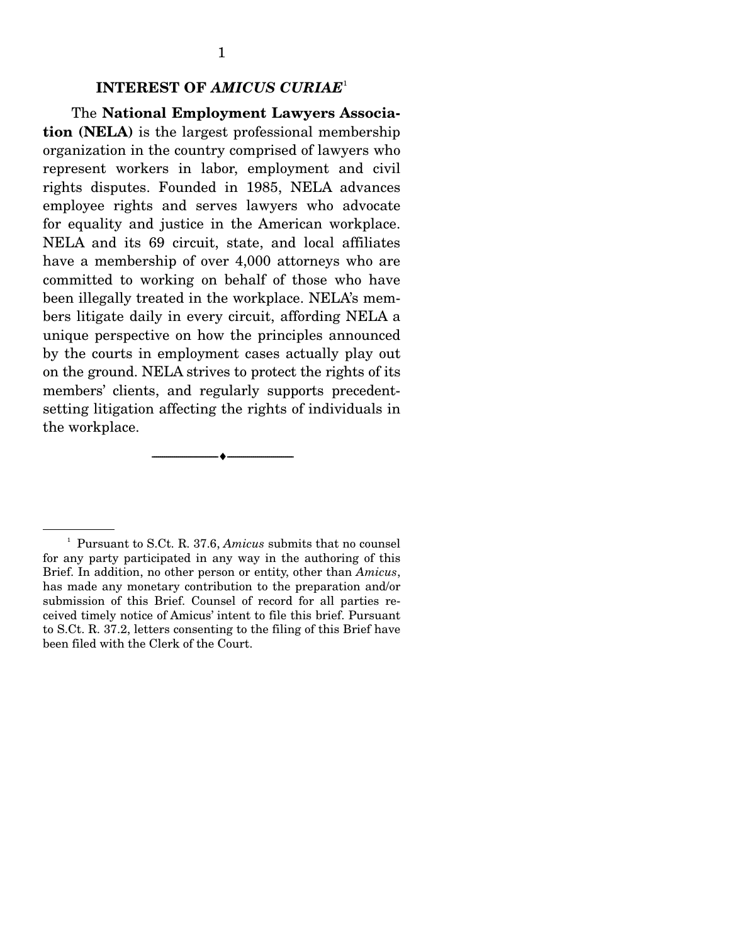#### **INTEREST OF** *AMICUS CURIAE*<sup>1</sup>

 The **National Employment Lawyers Association (NELA)** is the largest professional membership organization in the country comprised of lawyers who represent workers in labor, employment and civil rights disputes. Founded in 1985, NELA advances employee rights and serves lawyers who advocate for equality and justice in the American workplace. NELA and its 69 circuit, state, and local affiliates have a membership of over 4,000 attorneys who are committed to working on behalf of those who have been illegally treated in the workplace. NELA's members litigate daily in every circuit, affording NELA a unique perspective on how the principles announced by the courts in employment cases actually play out on the ground. NELA strives to protect the rights of its members' clients, and regularly supports precedentsetting litigation affecting the rights of individuals in the workplace.

--------------------------------- ---------------------------------

<sup>1</sup> Pursuant to S.Ct. R. 37.6, *Amicus* submits that no counsel for any party participated in any way in the authoring of this Brief. In addition, no other person or entity, other than *Amicus*, has made any monetary contribution to the preparation and/or submission of this Brief. Counsel of record for all parties received timely notice of Amicus' intent to file this brief. Pursuant to S.Ct. R. 37.2, letters consenting to the filing of this Brief have been filed with the Clerk of the Court.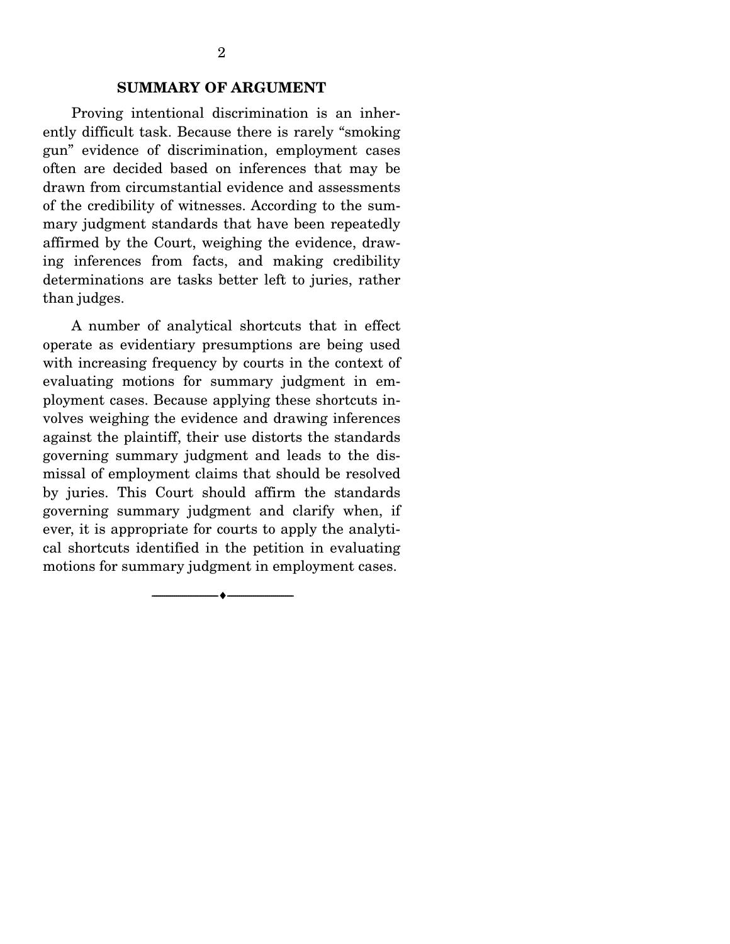#### **SUMMARY OF ARGUMENT**

 Proving intentional discrimination is an inherently difficult task. Because there is rarely "smoking gun" evidence of discrimination, employment cases often are decided based on inferences that may be drawn from circumstantial evidence and assessments of the credibility of witnesses. According to the summary judgment standards that have been repeatedly affirmed by the Court, weighing the evidence, drawing inferences from facts, and making credibility determinations are tasks better left to juries, rather than judges.

 A number of analytical shortcuts that in effect operate as evidentiary presumptions are being used with increasing frequency by courts in the context of evaluating motions for summary judgment in employment cases. Because applying these shortcuts involves weighing the evidence and drawing inferences against the plaintiff, their use distorts the standards governing summary judgment and leads to the dismissal of employment claims that should be resolved by juries. This Court should affirm the standards governing summary judgment and clarify when, if ever, it is appropriate for courts to apply the analytical shortcuts identified in the petition in evaluating motions for summary judgment in employment cases.

--------------------------------- ---------------------------------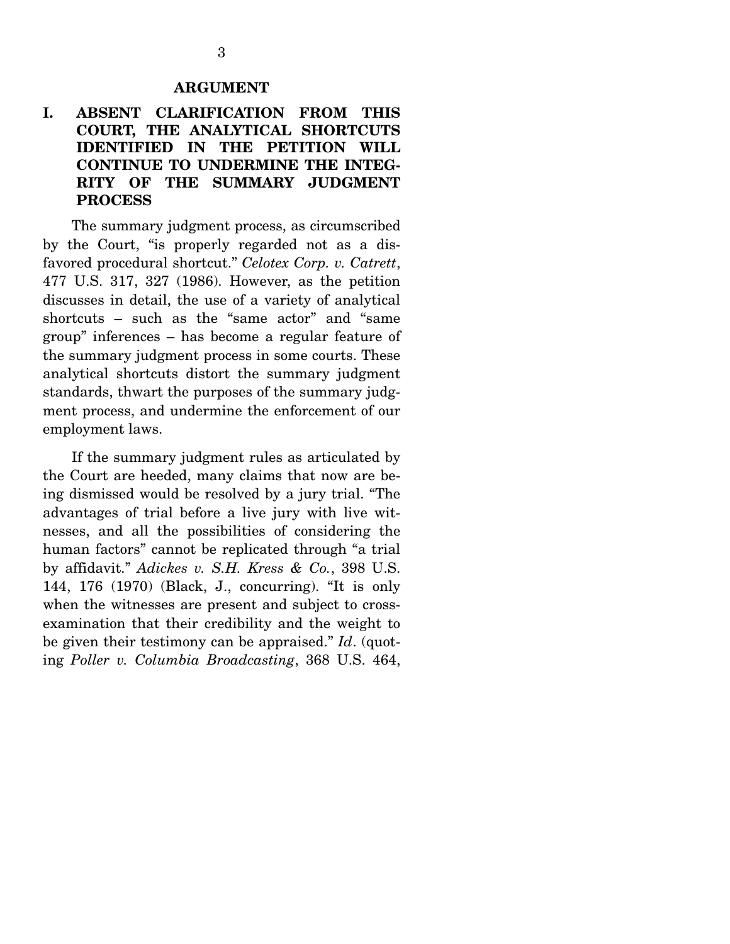## **I. ABSENT CLARIFICATION FROM THIS COURT, THE ANALYTICAL SHORTCUTS IDENTIFIED IN THE PETITION WILL CONTINUE TO UNDERMINE THE INTEG-RITY OF THE SUMMARY JUDGMENT PROCESS**

 The summary judgment process, as circumscribed by the Court, "is properly regarded not as a disfavored procedural shortcut." *Celotex Corp. v. Catrett*, 477 U.S. 317, 327 (1986). However, as the petition discusses in detail, the use of a variety of analytical shortcuts – such as the "same actor" and "same group" inferences – has become a regular feature of the summary judgment process in some courts. These analytical shortcuts distort the summary judgment standards, thwart the purposes of the summary judgment process, and undermine the enforcement of our employment laws.

 If the summary judgment rules as articulated by the Court are heeded, many claims that now are being dismissed would be resolved by a jury trial. "The advantages of trial before a live jury with live witnesses, and all the possibilities of considering the human factors" cannot be replicated through "a trial by affidavit." *Adickes v. S.H. Kress & Co.*, 398 U.S. 144, 176 (1970) (Black, J., concurring). "It is only when the witnesses are present and subject to crossexamination that their credibility and the weight to be given their testimony can be appraised." *Id*. (quoting *Poller v. Columbia Broadcasting*, 368 U.S. 464,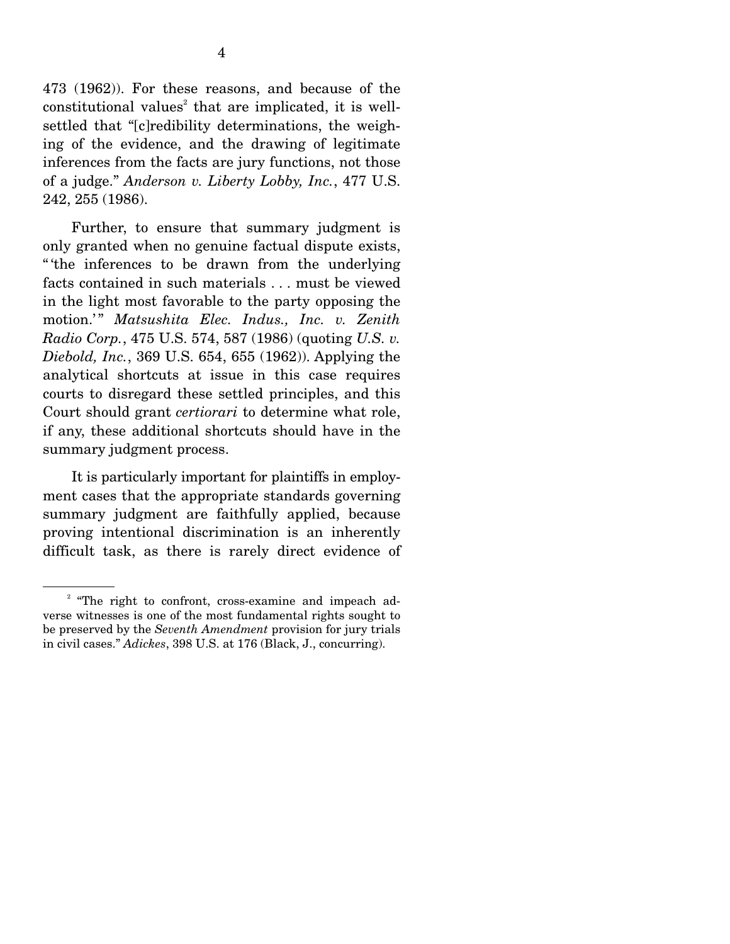473 (1962)). For these reasons, and because of the constitutional values<sup>2</sup> that are implicated, it is wellsettled that "[c]redibility determinations, the weighing of the evidence, and the drawing of legitimate inferences from the facts are jury functions, not those of a judge." *Anderson v. Liberty Lobby, Inc.*, 477 U.S. 242, 255 (1986).

 Further, to ensure that summary judgment is only granted when no genuine factual dispute exists, " 'the inferences to be drawn from the underlying facts contained in such materials . . . must be viewed in the light most favorable to the party opposing the motion.'" *Matsushita Elec. Indus., Inc. v. Zenith Radio Corp.*, 475 U.S. 574, 587 (1986) (quoting *U.S. v. Diebold, Inc.*, 369 U.S. 654, 655 (1962)). Applying the analytical shortcuts at issue in this case requires courts to disregard these settled principles, and this Court should grant *certiorari* to determine what role, if any, these additional shortcuts should have in the summary judgment process.

 It is particularly important for plaintiffs in employment cases that the appropriate standards governing summary judgment are faithfully applied, because proving intentional discrimination is an inherently difficult task, as there is rarely direct evidence of

<sup>&</sup>lt;sup>2</sup> "The right to confront, cross-examine and impeach adverse witnesses is one of the most fundamental rights sought to be preserved by the *Seventh Amendment* provision for jury trials in civil cases." *Adickes*, 398 U.S. at 176 (Black, J., concurring).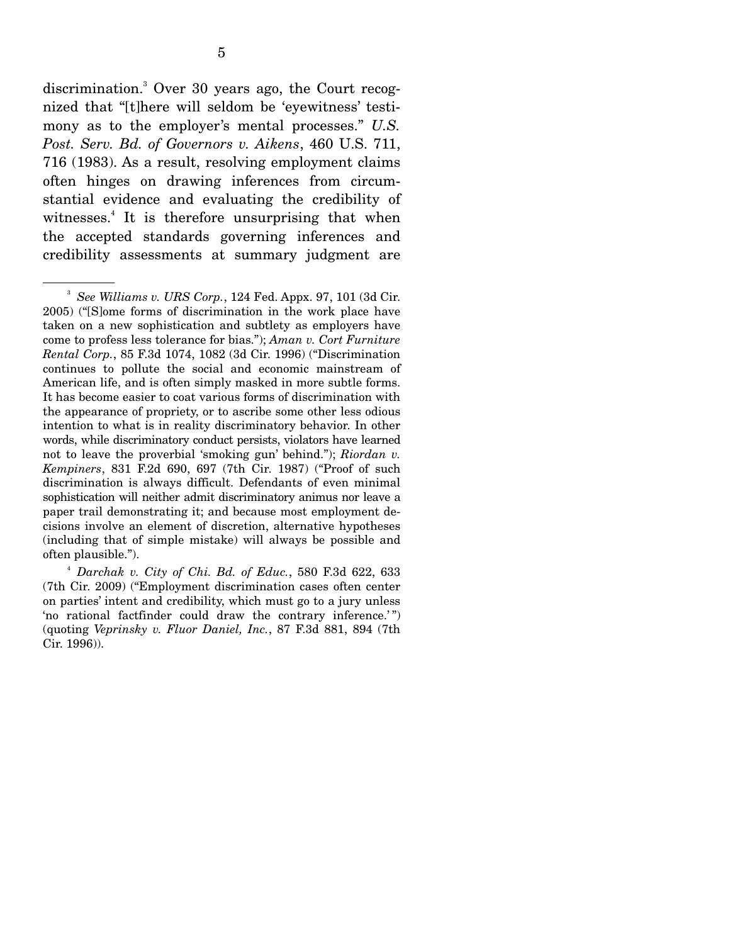discrimination.<sup>3</sup> Over 30 years ago, the Court recognized that "[t]here will seldom be 'eyewitness' testimony as to the employer's mental processes." *U.S. Post. Serv. Bd. of Governors v. Aikens*, 460 U.S. 711, 716 (1983). As a result, resolving employment claims often hinges on drawing inferences from circumstantial evidence and evaluating the credibility of witnesses.<sup>4</sup> It is therefore unsurprising that when the accepted standards governing inferences and credibility assessments at summary judgment are

<sup>3</sup> *See Williams v. URS Corp.*, 124 Fed. Appx. 97, 101 (3d Cir. 2005) ("[S]ome forms of discrimination in the work place have taken on a new sophistication and subtlety as employers have come to profess less tolerance for bias."); *Aman v. Cort Furniture Rental Corp.*, 85 F.3d 1074, 1082 (3d Cir. 1996) ("Discrimination continues to pollute the social and economic mainstream of American life, and is often simply masked in more subtle forms. It has become easier to coat various forms of discrimination with the appearance of propriety, or to ascribe some other less odious intention to what is in reality discriminatory behavior. In other words, while discriminatory conduct persists, violators have learned not to leave the proverbial 'smoking gun' behind."); *Riordan v. Kempiners*, 831 F.2d 690, 697 (7th Cir. 1987) ("Proof of such discrimination is always difficult. Defendants of even minimal sophistication will neither admit discriminatory animus nor leave a paper trail demonstrating it; and because most employment decisions involve an element of discretion, alternative hypotheses (including that of simple mistake) will always be possible and often plausible.").

<sup>4</sup> *Darchak v. City of Chi. Bd. of Educ.*, 580 F.3d 622, 633 (7th Cir. 2009) ("Employment discrimination cases often center on parties' intent and credibility, which must go to a jury unless 'no rational factfinder could draw the contrary inference.'") (quoting *Veprinsky v. Fluor Daniel, Inc.*, 87 F.3d 881, 894 (7th Cir. 1996)).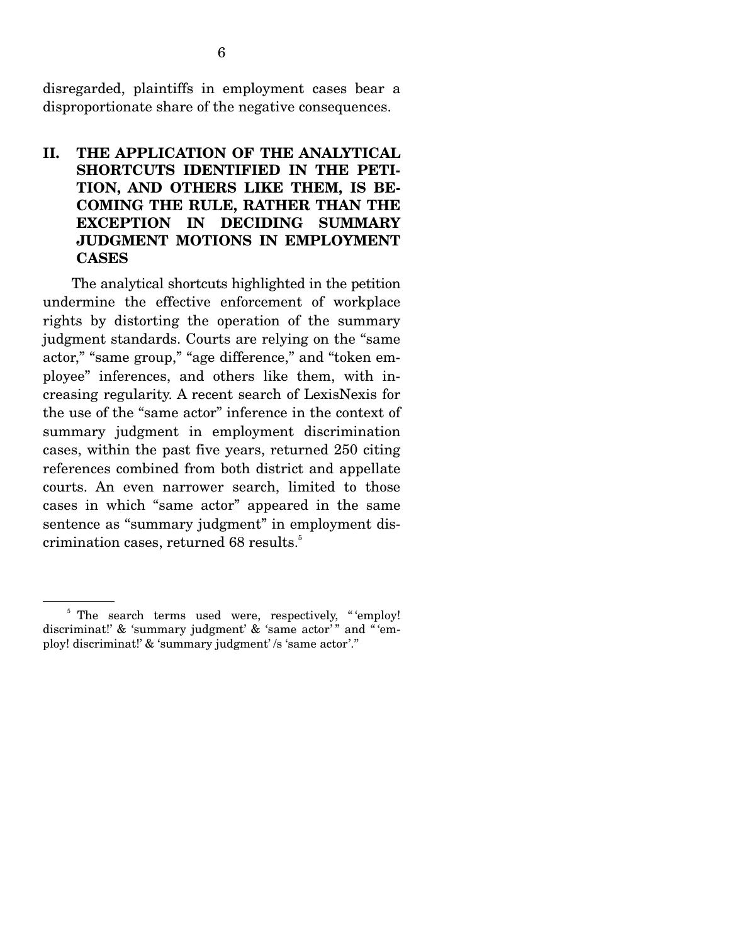disregarded, plaintiffs in employment cases bear a disproportionate share of the negative consequences.

## **II. THE APPLICATION OF THE ANALYTICAL SHORTCUTS IDENTIFIED IN THE PETI-TION, AND OTHERS LIKE THEM, IS BE-COMING THE RULE, RATHER THAN THE EXCEPTION IN DECIDING SUMMARY JUDGMENT MOTIONS IN EMPLOYMENT CASES**

 The analytical shortcuts highlighted in the petition undermine the effective enforcement of workplace rights by distorting the operation of the summary judgment standards. Courts are relying on the "same actor," "same group," "age difference," and "token employee" inferences, and others like them, with increasing regularity. A recent search of LexisNexis for the use of the "same actor" inference in the context of summary judgment in employment discrimination cases, within the past five years, returned 250 citing references combined from both district and appellate courts. An even narrower search, limited to those cases in which "same actor" appeared in the same sentence as "summary judgment" in employment discrimination cases, returned 68 results.<sup>5</sup>

<sup>&</sup>lt;sup>5</sup> The search terms used were, respectively, "'employ! discriminat!' & 'summary judgment' & 'same actor'" and "'employ! discriminat!' & 'summary judgment' /s 'same actor'."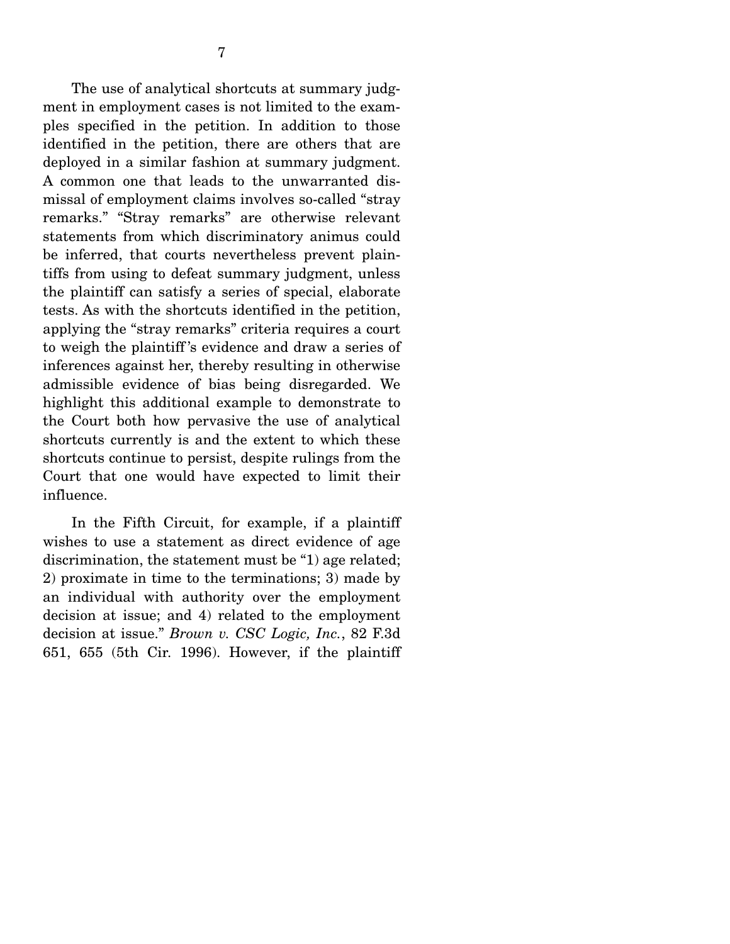The use of analytical shortcuts at summary judgment in employment cases is not limited to the examples specified in the petition. In addition to those identified in the petition, there are others that are deployed in a similar fashion at summary judgment. A common one that leads to the unwarranted dismissal of employment claims involves so-called "stray remarks." "Stray remarks" are otherwise relevant statements from which discriminatory animus could be inferred, that courts nevertheless prevent plaintiffs from using to defeat summary judgment, unless the plaintiff can satisfy a series of special, elaborate tests. As with the shortcuts identified in the petition, applying the "stray remarks" criteria requires a court to weigh the plaintiff 's evidence and draw a series of inferences against her, thereby resulting in otherwise admissible evidence of bias being disregarded. We highlight this additional example to demonstrate to the Court both how pervasive the use of analytical shortcuts currently is and the extent to which these shortcuts continue to persist, despite rulings from the Court that one would have expected to limit their influence.

 In the Fifth Circuit, for example, if a plaintiff wishes to use a statement as direct evidence of age discrimination, the statement must be "1) age related; 2) proximate in time to the terminations; 3) made by an individual with authority over the employment decision at issue; and 4) related to the employment decision at issue." *Brown v. CSC Logic, Inc.*, 82 F.3d 651, 655 (5th Cir. 1996). However, if the plaintiff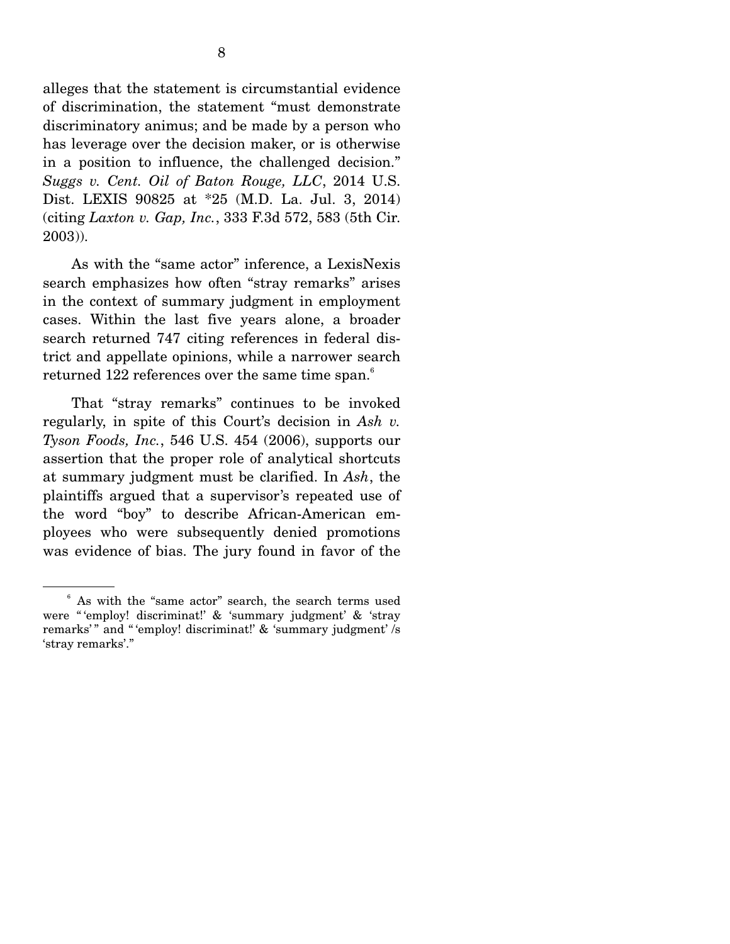alleges that the statement is circumstantial evidence of discrimination, the statement "must demonstrate discriminatory animus; and be made by a person who has leverage over the decision maker, or is otherwise in a position to influence, the challenged decision." *Suggs v. Cent. Oil of Baton Rouge, LLC*, 2014 U.S. Dist. LEXIS 90825 at \*25 (M.D. La. Jul. 3, 2014) (citing *Laxton v. Gap, Inc.*, 333 F.3d 572, 583 (5th Cir. 2003)).

 As with the "same actor" inference, a LexisNexis search emphasizes how often "stray remarks" arises in the context of summary judgment in employment cases. Within the last five years alone, a broader search returned 747 citing references in federal district and appellate opinions, while a narrower search returned 122 references over the same time span. $^6$ 

 That "stray remarks" continues to be invoked regularly, in spite of this Court's decision in *Ash v. Tyson Foods, Inc.*, 546 U.S. 454 (2006), supports our assertion that the proper role of analytical shortcuts at summary judgment must be clarified. In *Ash*, the plaintiffs argued that a supervisor's repeated use of the word "boy" to describe African-American employees who were subsequently denied promotions was evidence of bias. The jury found in favor of the

<sup>6</sup> As with the "same actor" search, the search terms used were " 'employ! discriminat!' & 'summary judgment' & 'stray remarks'" and "'employ! discriminat!' & 'summary judgment' /s 'stray remarks'."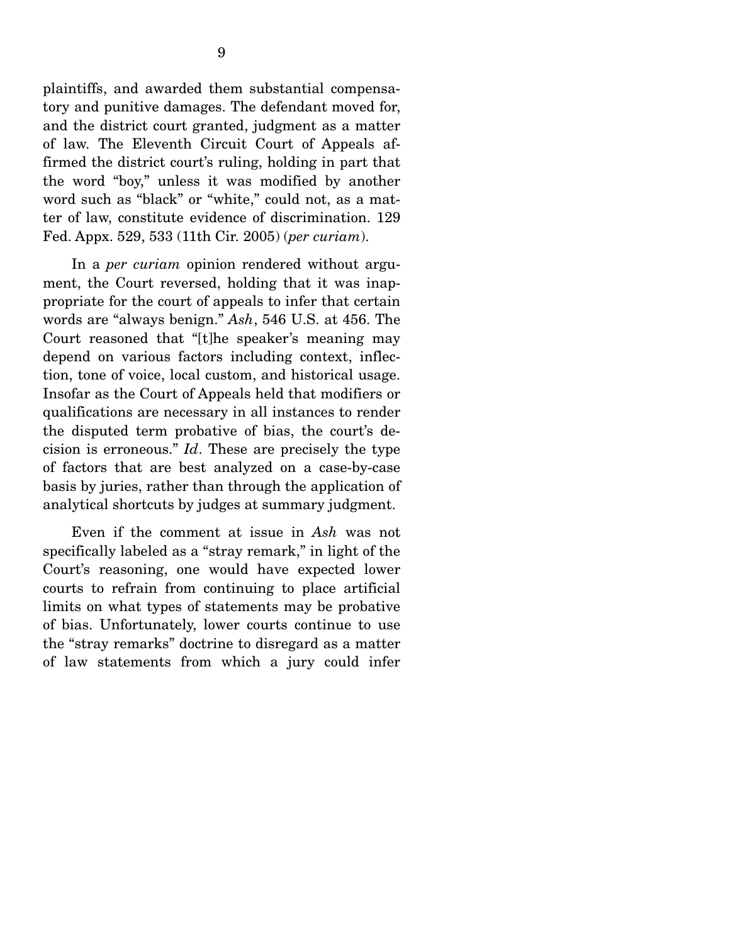plaintiffs, and awarded them substantial compensatory and punitive damages. The defendant moved for, and the district court granted, judgment as a matter of law. The Eleventh Circuit Court of Appeals affirmed the district court's ruling, holding in part that the word "boy," unless it was modified by another word such as "black" or "white," could not, as a matter of law, constitute evidence of discrimination. 129 Fed. Appx. 529, 533 (11th Cir. 2005) (*per curiam*).

 In a *per curiam* opinion rendered without argument, the Court reversed, holding that it was inappropriate for the court of appeals to infer that certain words are "always benign." *Ash*, 546 U.S. at 456. The Court reasoned that "[t]he speaker's meaning may depend on various factors including context, inflection, tone of voice, local custom, and historical usage. Insofar as the Court of Appeals held that modifiers or qualifications are necessary in all instances to render the disputed term probative of bias, the court's decision is erroneous." *Id*. These are precisely the type of factors that are best analyzed on a case-by-case basis by juries, rather than through the application of analytical shortcuts by judges at summary judgment.

 Even if the comment at issue in *Ash* was not specifically labeled as a "stray remark," in light of the Court's reasoning, one would have expected lower courts to refrain from continuing to place artificial limits on what types of statements may be probative of bias. Unfortunately, lower courts continue to use the "stray remarks" doctrine to disregard as a matter of law statements from which a jury could infer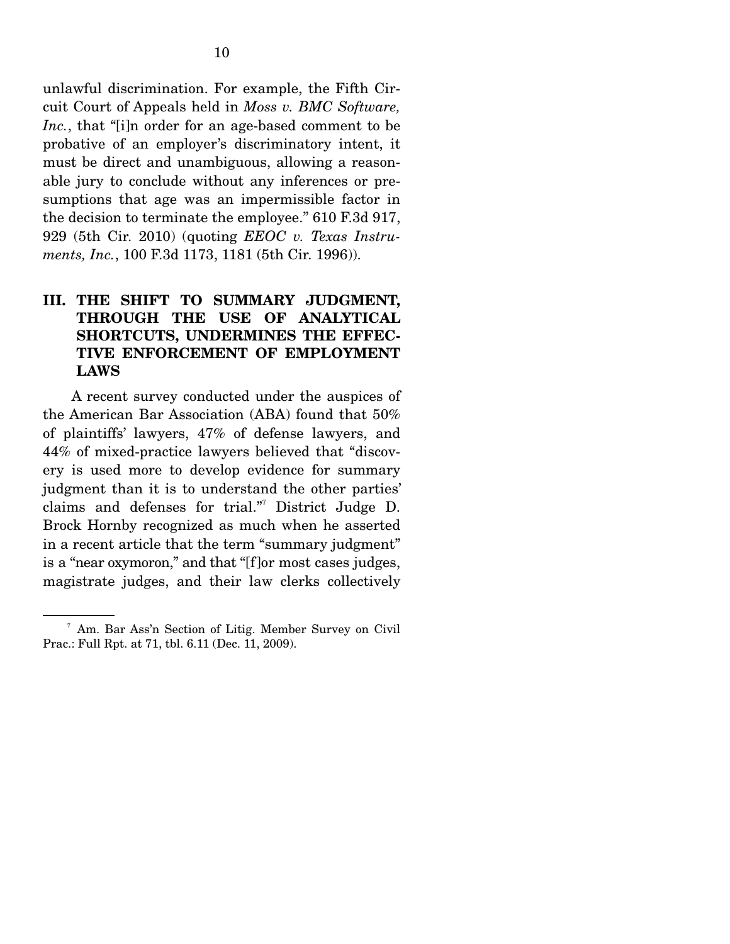unlawful discrimination. For example, the Fifth Circuit Court of Appeals held in *Moss v. BMC Software, Inc.*, that "[i]n order for an age-based comment to be probative of an employer's discriminatory intent, it must be direct and unambiguous, allowing a reasonable jury to conclude without any inferences or presumptions that age was an impermissible factor in the decision to terminate the employee." 610 F.3d 917, 929 (5th Cir. 2010) (quoting *EEOC v. Texas Instruments, Inc.*, 100 F.3d 1173, 1181 (5th Cir. 1996)).

## **III. THE SHIFT TO SUMMARY JUDGMENT, THROUGH THE USE OF ANALYTICAL SHORTCUTS, UNDERMINES THE EFFEC-TIVE ENFORCEMENT OF EMPLOYMENT LAWS**

 A recent survey conducted under the auspices of the American Bar Association (ABA) found that 50% of plaintiffs' lawyers, 47% of defense lawyers, and 44% of mixed-practice lawyers believed that "discovery is used more to develop evidence for summary judgment than it is to understand the other parties' claims and defenses for trial."7 District Judge D. Brock Hornby recognized as much when he asserted in a recent article that the term "summary judgment" is a "near oxymoron," and that "[f]or most cases judges, magistrate judges, and their law clerks collectively

<sup>7</sup> Am. Bar Ass'n Section of Litig. Member Survey on Civil Prac.: Full Rpt. at 71, tbl. 6.11 (Dec. 11, 2009).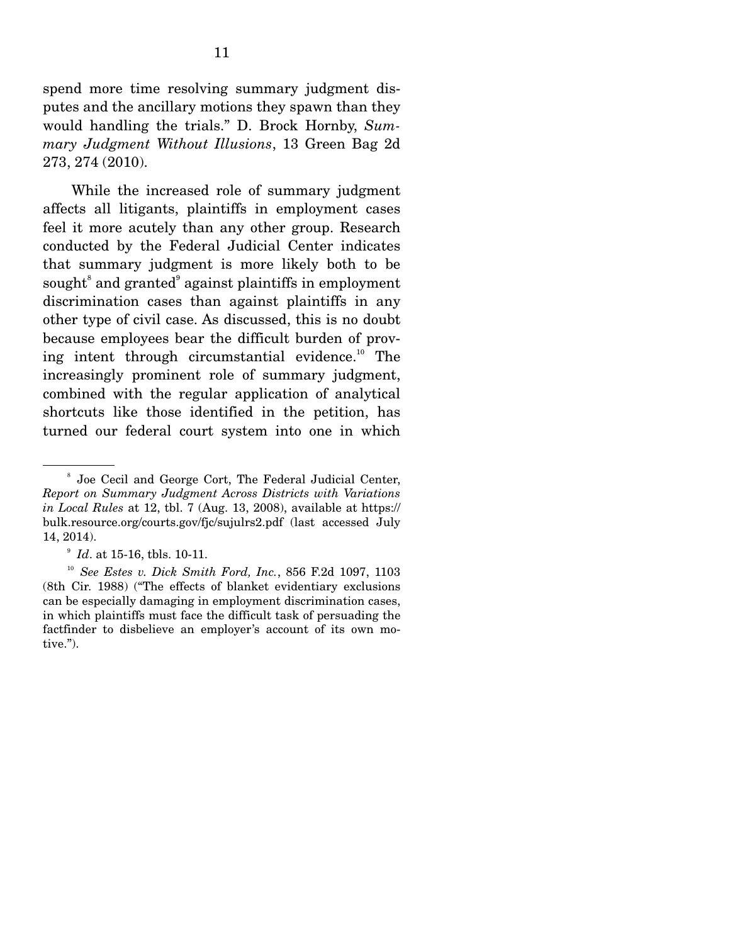spend more time resolving summary judgment disputes and the ancillary motions they spawn than they would handling the trials." D. Brock Hornby, *Summary Judgment Without Illusions*, 13 Green Bag 2d 273, 274 (2010).

 While the increased role of summary judgment affects all litigants, plaintiffs in employment cases feel it more acutely than any other group. Research conducted by the Federal Judicial Center indicates that summary judgment is more likely both to be sought<sup>8</sup> and granted<sup>9</sup> against plaintiffs in employment discrimination cases than against plaintiffs in any other type of civil case. As discussed, this is no doubt because employees bear the difficult burden of proving intent through circumstantial evidence.<sup>10</sup> The increasingly prominent role of summary judgment, combined with the regular application of analytical shortcuts like those identified in the petition, has turned our federal court system into one in which

<sup>8</sup> Joe Cecil and George Cort, The Federal Judicial Center, *Report on Summary Judgment Across Districts with Variations in Local Rules* at 12, tbl. 7 (Aug. 13, 2008), available at https:// bulk.resource.org/courts.gov/fjc/sujulrs2.pdf (last accessed July 14, 2014).

<sup>9</sup> *Id*. at 15-16, tbls. 10-11.

<sup>10</sup> *See Estes v. Dick Smith Ford, Inc.*, 856 F.2d 1097, 1103 (8th Cir. 1988) ("The effects of blanket evidentiary exclusions can be especially damaging in employment discrimination cases, in which plaintiffs must face the difficult task of persuading the factfinder to disbelieve an employer's account of its own motive.").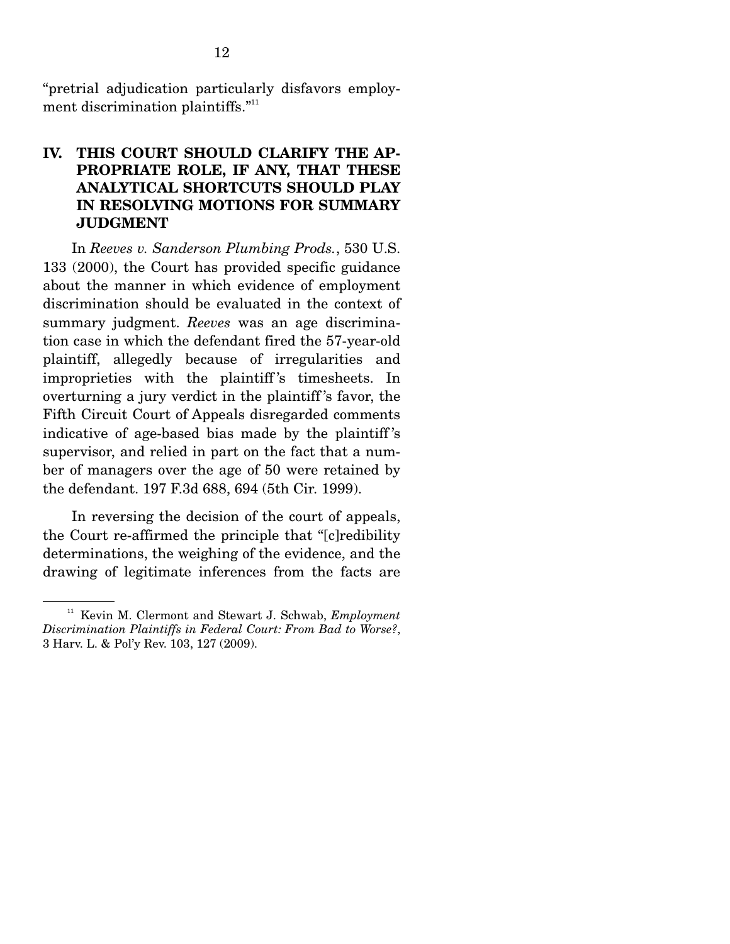"pretrial adjudication particularly disfavors employment discrimination plaintiffs."<sup>11</sup>

## **IV. THIS COURT SHOULD CLARIFY THE AP-PROPRIATE ROLE, IF ANY, THAT THESE ANALYTICAL SHORTCUTS SHOULD PLAY IN RESOLVING MOTIONS FOR SUMMARY JUDGMENT**

 In *Reeves v. Sanderson Plumbing Prods.*, 530 U.S. 133 (2000), the Court has provided specific guidance about the manner in which evidence of employment discrimination should be evaluated in the context of summary judgment. *Reeves* was an age discrimination case in which the defendant fired the 57-year-old plaintiff, allegedly because of irregularities and improprieties with the plaintiff's timesheets. In overturning a jury verdict in the plaintiff 's favor, the Fifth Circuit Court of Appeals disregarded comments indicative of age-based bias made by the plaintiff 's supervisor, and relied in part on the fact that a number of managers over the age of 50 were retained by the defendant. 197 F.3d 688, 694 (5th Cir. 1999).

 In reversing the decision of the court of appeals, the Court re-affirmed the principle that "[c]redibility determinations, the weighing of the evidence, and the drawing of legitimate inferences from the facts are

<sup>11</sup> Kevin M. Clermont and Stewart J. Schwab, *Employment Discrimination Plaintiffs in Federal Court: From Bad to Worse?*, 3 Harv. L. & Pol'y Rev. 103, 127 (2009).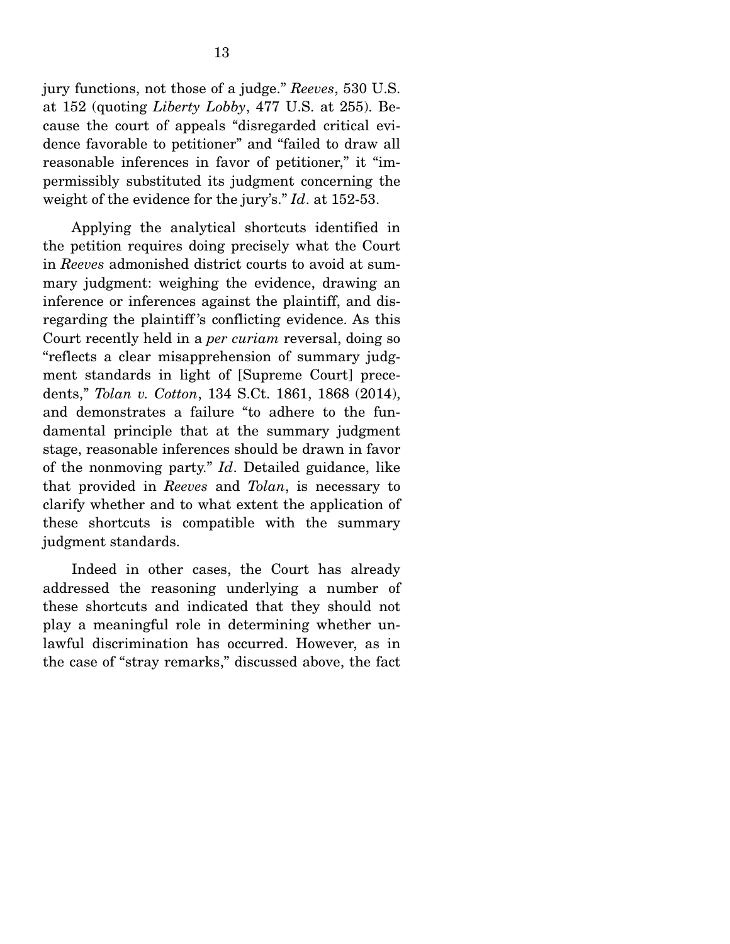jury functions, not those of a judge." *Reeves*, 530 U.S. at 152 (quoting *Liberty Lobby*, 477 U.S. at 255). Because the court of appeals "disregarded critical evidence favorable to petitioner" and "failed to draw all reasonable inferences in favor of petitioner," it "impermissibly substituted its judgment concerning the weight of the evidence for the jury's." *Id*. at 152-53.

 Applying the analytical shortcuts identified in the petition requires doing precisely what the Court in *Reeves* admonished district courts to avoid at summary judgment: weighing the evidence, drawing an inference or inferences against the plaintiff, and disregarding the plaintiff 's conflicting evidence. As this Court recently held in a *per curiam* reversal, doing so "reflects a clear misapprehension of summary judgment standards in light of [Supreme Court] precedents," *Tolan v. Cotton*, 134 S.Ct. 1861, 1868 (2014), and demonstrates a failure "to adhere to the fundamental principle that at the summary judgment stage, reasonable inferences should be drawn in favor of the nonmoving party." *Id*. Detailed guidance, like that provided in *Reeves* and *Tolan*, is necessary to clarify whether and to what extent the application of these shortcuts is compatible with the summary judgment standards.

 Indeed in other cases, the Court has already addressed the reasoning underlying a number of these shortcuts and indicated that they should not play a meaningful role in determining whether unlawful discrimination has occurred. However, as in the case of "stray remarks," discussed above, the fact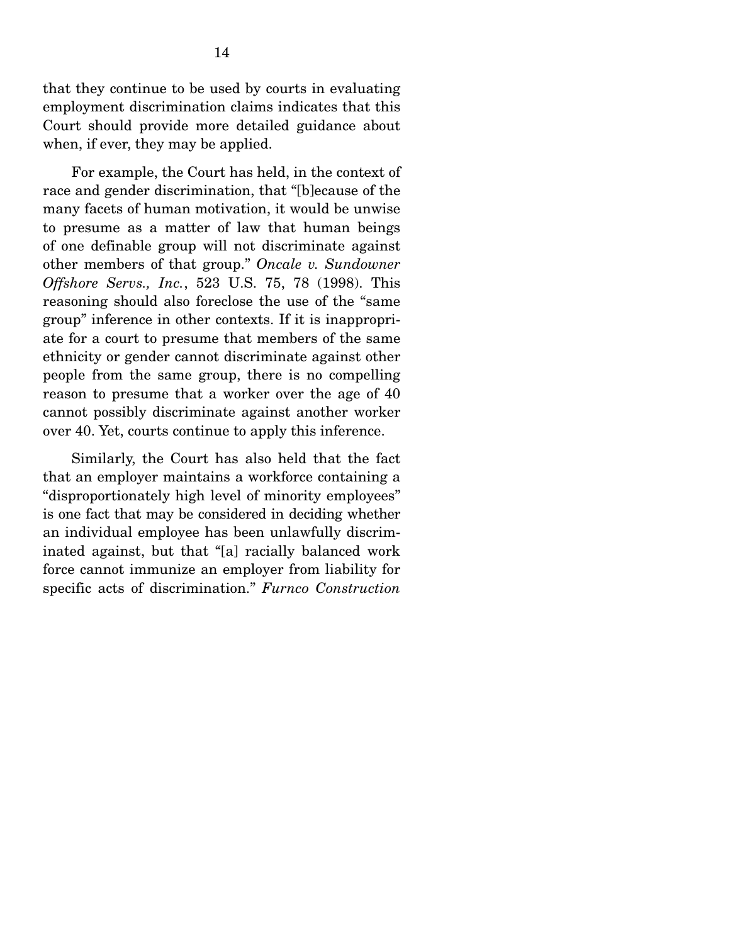that they continue to be used by courts in evaluating employment discrimination claims indicates that this Court should provide more detailed guidance about when, if ever, they may be applied.

 For example, the Court has held, in the context of race and gender discrimination, that "[b]ecause of the many facets of human motivation, it would be unwise to presume as a matter of law that human beings of one definable group will not discriminate against other members of that group." *Oncale v. Sundowner Offshore Servs., Inc.*, 523 U.S. 75, 78 (1998). This reasoning should also foreclose the use of the "same group" inference in other contexts. If it is inappropriate for a court to presume that members of the same ethnicity or gender cannot discriminate against other people from the same group, there is no compelling reason to presume that a worker over the age of 40 cannot possibly discriminate against another worker over 40. Yet, courts continue to apply this inference.

 Similarly, the Court has also held that the fact that an employer maintains a workforce containing a "disproportionately high level of minority employees" is one fact that may be considered in deciding whether an individual employee has been unlawfully discriminated against, but that "[a] racially balanced work force cannot immunize an employer from liability for specific acts of discrimination." *Furnco Construction*